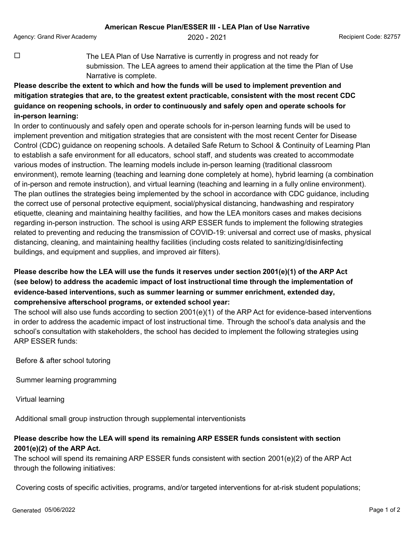Agency: Grand River Academy **2020 - 2021** Agency: Grand Recipient Code: 82757

 $\Box$  The LEA Plan of Use Narrative is currently in progress and not ready for submission. The LEA agrees to amend their application at the time the Plan of Use Narrative is complete.

**Please describe the extent to which and how the funds will be used to implement prevention and mitigation strategies that are, to the greatest extent practicable, consistent with the most recent CDC guidance on reopening schools, in order to continuously and safely open and operate schools for in-person learning:**

In order to continuously and safely open and operate schools for in-person learning funds will be used to implement prevention and mitigation strategies that are consistent with the most recent Center for Disease Control (CDC) guidance on reopening schools. A detailed Safe Return to School & Continuity of Learning Plan to establish a safe environment for all educators, school staff, and students was created to accommodate various modes of instruction. The learning models include in-person learning (traditional classroom environment), remote learning (teaching and learning done completely at home), hybrid learning (a combination of in-person and remote instruction), and virtual learning (teaching and learning in a fully online environment). The plan outlines the strategies being implemented by the school in accordance with CDC guidance, including the correct use of personal protective equipment, social/physical distancing, handwashing and respiratory etiquette, cleaning and maintaining healthy facilities, and how the LEA monitors cases and makes decisions regarding in-person instruction. The school is using ARP ESSER funds to implement the following strategies related to preventing and reducing the transmission of COVID-19: universal and correct use of masks, physical distancing, cleaning, and maintaining healthy facilities (including costs related to sanitizing/disinfecting buildings, and equipment and supplies, and improved air filters).

## **Please describe how the LEA will use the funds it reserves under section 2001(e)(1) of the ARP Act (see below) to address the academic impact of lost instructional time through the implementation of evidence-based interventions, such as summer learning or summer enrichment, extended day, comprehensive afterschool programs, or extended school year:**

The school will also use funds according to section 2001(e)(1) of the ARP Act for evidence-based interventions in order to address the academic impact of lost instructional time. Through the school's data analysis and the school's consultation with stakeholders, the school has decided to implement the following strategies using ARP ESSER funds:

Before & after school tutoring

Summer learning programming

Virtual learning

Additional small group instruction through supplemental interventionists

## **Please describe how the LEA will spend its remaining ARP ESSER funds consistent with section 2001(e)(2) of the ARP Act.**

The school will spend its remaining ARP ESSER funds consistent with section 2001(e)(2) of the ARP Act through the following initiatives:

Covering costs of specific activities, programs, and/or targeted interventions for at-risk student populations;